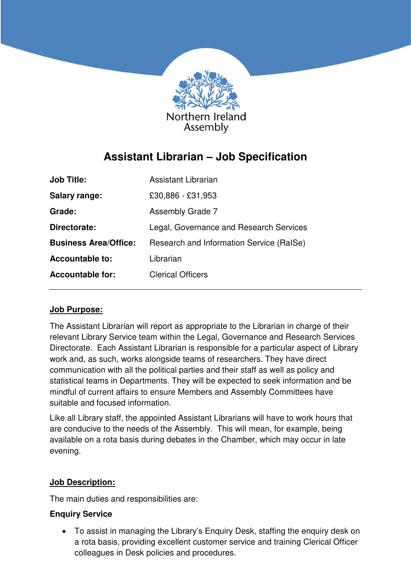

# **Assistant Librarian – Job Specification**

| <b>Job Title:</b>            | Assistant Librarian                      |
|------------------------------|------------------------------------------|
| <b>Salary range:</b>         | £30,886 - £31,953                        |
| Grade:                       | <b>Assembly Grade 7</b>                  |
| Directorate:                 | Legal, Governance and Research Services  |
| <b>Business Area/Office:</b> | Research and Information Service (RaISe) |
| <b>Accountable to:</b>       | Librarian                                |
| <b>Accountable for:</b>      | <b>Clerical Officers</b>                 |

## **Job Purpose:**

The Assistant Librarian will report as appropriate to the Librarian in charge of their relevant Library Service team within the Legal, Governance and Research Services Directorate. Each Assistant Librarian is responsible for a particular aspect of Library work and, as such, works alongside teams of researchers. They have direct communication with all the political parties and their staff as well as policy and statistical teams in Departments. They will be expected to seek information and be mindful of current affairs to ensure Members and Assembly Committees have suitable and focused information.

Like all Library staff, the appointed Assistant Librarians will have to work hours that are conducive to the needs of the Assembly. This will mean, for example, being available on a rota basis during debates in the Chamber, which may occur in late evening.

## **Job Description:**

The main duties and responsibilities are:

## **Enquiry Service**

• To assist in managing the Library's Enquiry Desk, staffing the enquiry desk on a rota basis, providing excellent customer service and training Clerical Officer colleagues in Desk policies and procedures.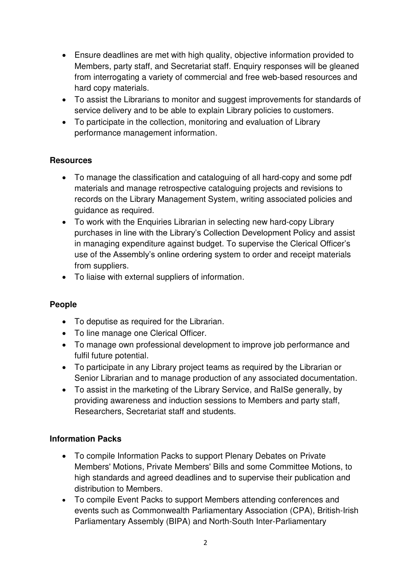- Ensure deadlines are met with high quality, objective information provided to Members, party staff, and Secretariat staff. Enquiry responses will be gleaned from interrogating a variety of commercial and free web-based resources and hard copy materials.
- To assist the Librarians to monitor and suggest improvements for standards of service delivery and to be able to explain Library policies to customers.
- To participate in the collection, monitoring and evaluation of Library performance management information.

## **Resources**

- To manage the classification and cataloguing of all hard-copy and some pdf materials and manage retrospective cataloguing projects and revisions to records on the Library Management System, writing associated policies and guidance as required.
- To work with the Enquiries Librarian in selecting new hard-copy Library purchases in line with the Library's Collection Development Policy and assist in managing expenditure against budget. To supervise the Clerical Officer's use of the Assembly's online ordering system to order and receipt materials from suppliers.
- To liaise with external suppliers of information.

## **People**

- To deputise as required for the Librarian.
- To line manage one Clerical Officer.
- To manage own professional development to improve job performance and fulfil future potential.
- To participate in any Library project teams as required by the Librarian or Senior Librarian and to manage production of any associated documentation.
- To assist in the marketing of the Library Service, and RaISe generally, by providing awareness and induction sessions to Members and party staff, Researchers, Secretariat staff and students.

## **Information Packs**

- To compile Information Packs to support Plenary Debates on Private Members' Motions, Private Members' Bills and some Committee Motions, to high standards and agreed deadlines and to supervise their publication and distribution to Members.
- To compile Event Packs to support Members attending conferences and events such as Commonwealth Parliamentary Association (CPA), British-Irish Parliamentary Assembly (BIPA) and North-South Inter-Parliamentary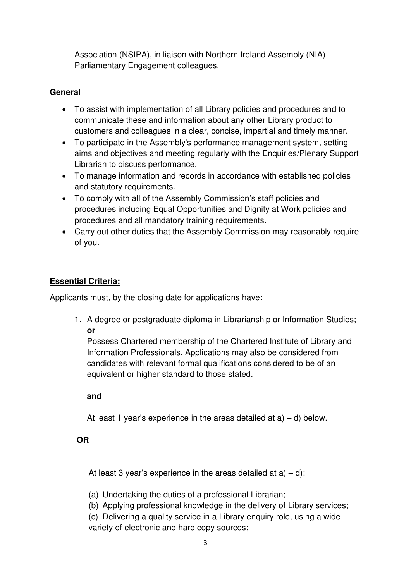Association (NSIPA), in liaison with Northern Ireland Assembly (NIA) Parliamentary Engagement colleagues.

## **General**

- To assist with implementation of all Library policies and procedures and to communicate these and information about any other Library product to customers and colleagues in a clear, concise, impartial and timely manner.
- To participate in the Assembly's performance management system, setting aims and objectives and meeting regularly with the Enquiries/Plenary Support Librarian to discuss performance.
- To manage information and records in accordance with established policies and statutory requirements.
- To comply with all of the Assembly Commission's staff policies and procedures including Equal Opportunities and Dignity at Work policies and procedures and all mandatory training requirements.
- Carry out other duties that the Assembly Commission may reasonably require of you.

## **Essential Criteria:**

Applicants must, by the closing date for applications have:

1. A degree or postgraduate diploma in Librarianship or Information Studies; **or**

Possess Chartered membership of the Chartered Institute of Library and Information Professionals. Applications may also be considered from candidates with relevant formal qualifications considered to be of an equivalent or higher standard to those stated.

## **and**

At least 1 year's experience in the areas detailed at  $a$ ) – d) below.

## **OR**

At least 3 year's experience in the areas detailed at  $a$ ) – d):

(a) Undertaking the duties of a professional Librarian;

(b) Applying professional knowledge in the delivery of Library services;

(c) Delivering a quality service in a Library enquiry role, using a wide variety of electronic and hard copy sources;